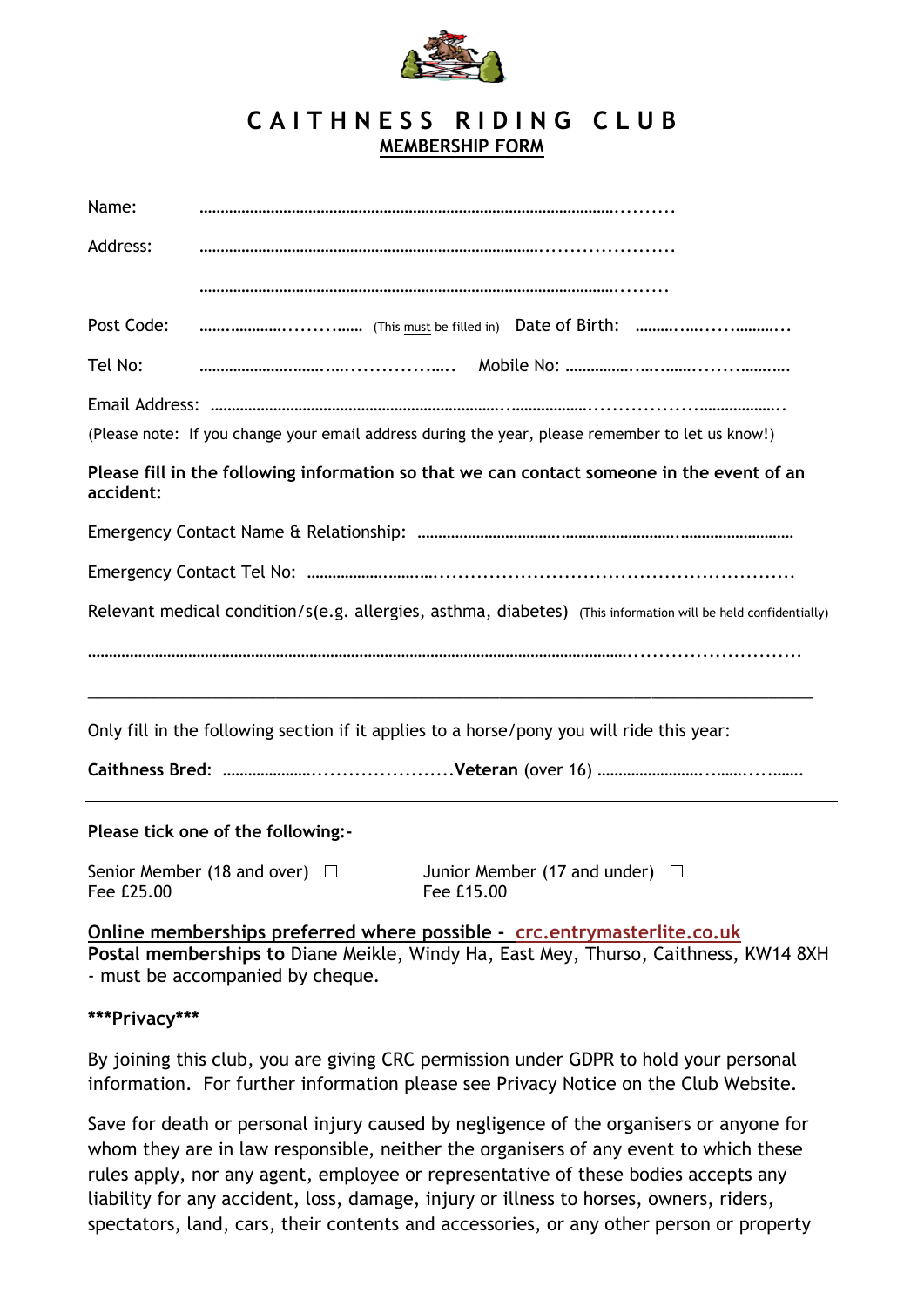

## **C A I T H N E S S R I D I N G C L U B MEMBERSHIP FORM**

| Name:                                                                                                   |                                                                                                                         |  |  |
|---------------------------------------------------------------------------------------------------------|-------------------------------------------------------------------------------------------------------------------------|--|--|
| Address:                                                                                                |                                                                                                                         |  |  |
|                                                                                                         |                                                                                                                         |  |  |
| Post Code:                                                                                              |                                                                                                                         |  |  |
| Tel No:                                                                                                 |                                                                                                                         |  |  |
|                                                                                                         |                                                                                                                         |  |  |
|                                                                                                         | (Please note: If you change your email address during the year, please remember to let us know!)                        |  |  |
| Please fill in the following information so that we can contact someone in the event of an<br>accident: |                                                                                                                         |  |  |
|                                                                                                         |                                                                                                                         |  |  |
|                                                                                                         |                                                                                                                         |  |  |
|                                                                                                         | Relevant medical condition/s(e.g. allergies, asthma, diabetes) (This information will be held confidentially)           |  |  |
|                                                                                                         |                                                                                                                         |  |  |
|                                                                                                         | Only fill in the following section if it applies to a horse/pony you will ride this year:                               |  |  |
|                                                                                                         |                                                                                                                         |  |  |
|                                                                                                         | Please tick one of the following:-                                                                                      |  |  |
| Fee £25.00                                                                                              | Senior Member (18 and over) $\Box$<br>Junior Member (17 and under) $\Box$<br>Fee £15.00                                 |  |  |
|                                                                                                         | Online memberships preferred where possible - crc.entrymasterlite.co.uk                                                 |  |  |
|                                                                                                         | Postal memberships to Diane Meikle, Windy Ha, East Mey, Thurso, Caithness, KW14 8XH<br>- must be accompanied by cheque. |  |  |

## **\*\*\*Privacy\*\*\***

By joining this club, you are giving CRC permission under GDPR to hold your personal information. For further information please see Privacy Notice on the Club Website.

Save for death or personal injury caused by negligence of the organisers or anyone for whom they are in law responsible, neither the organisers of any event to which these rules apply, nor any agent, employee or representative of these bodies accepts any liability for any accident, loss, damage, injury or illness to horses, owners, riders, spectators, land, cars, their contents and accessories, or any other person or property